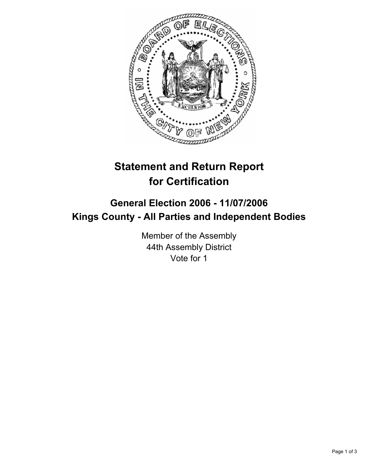

## **Statement and Return Report for Certification**

## **General Election 2006 - 11/07/2006 Kings County - All Parties and Independent Bodies**

Member of the Assembly 44th Assembly District Vote for 1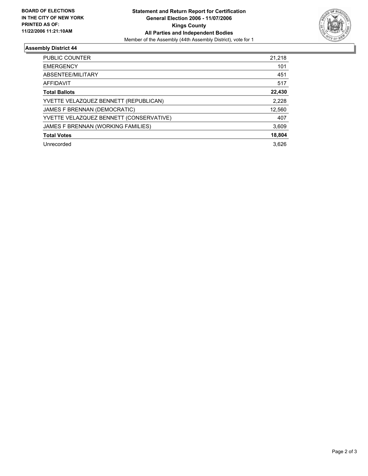

## **Assembly District 44**

| PUBLIC COUNTER                          | 21,218 |
|-----------------------------------------|--------|
| <b>EMERGENCY</b>                        | 101    |
| ABSENTEE/MILITARY                       | 451    |
| AFFIDAVIT                               | 517    |
| <b>Total Ballots</b>                    | 22,430 |
| YVETTE VELAZQUEZ BENNETT (REPUBLICAN)   | 2,228  |
| JAMES F BRENNAN (DEMOCRATIC)            | 12,560 |
| YVETTE VELAZQUEZ BENNETT (CONSERVATIVE) | 407    |
| JAMES F BRENNAN (WORKING FAMILIES)      | 3,609  |
| <b>Total Votes</b>                      | 18,804 |
| Unrecorded                              | 3.626  |
|                                         |        |